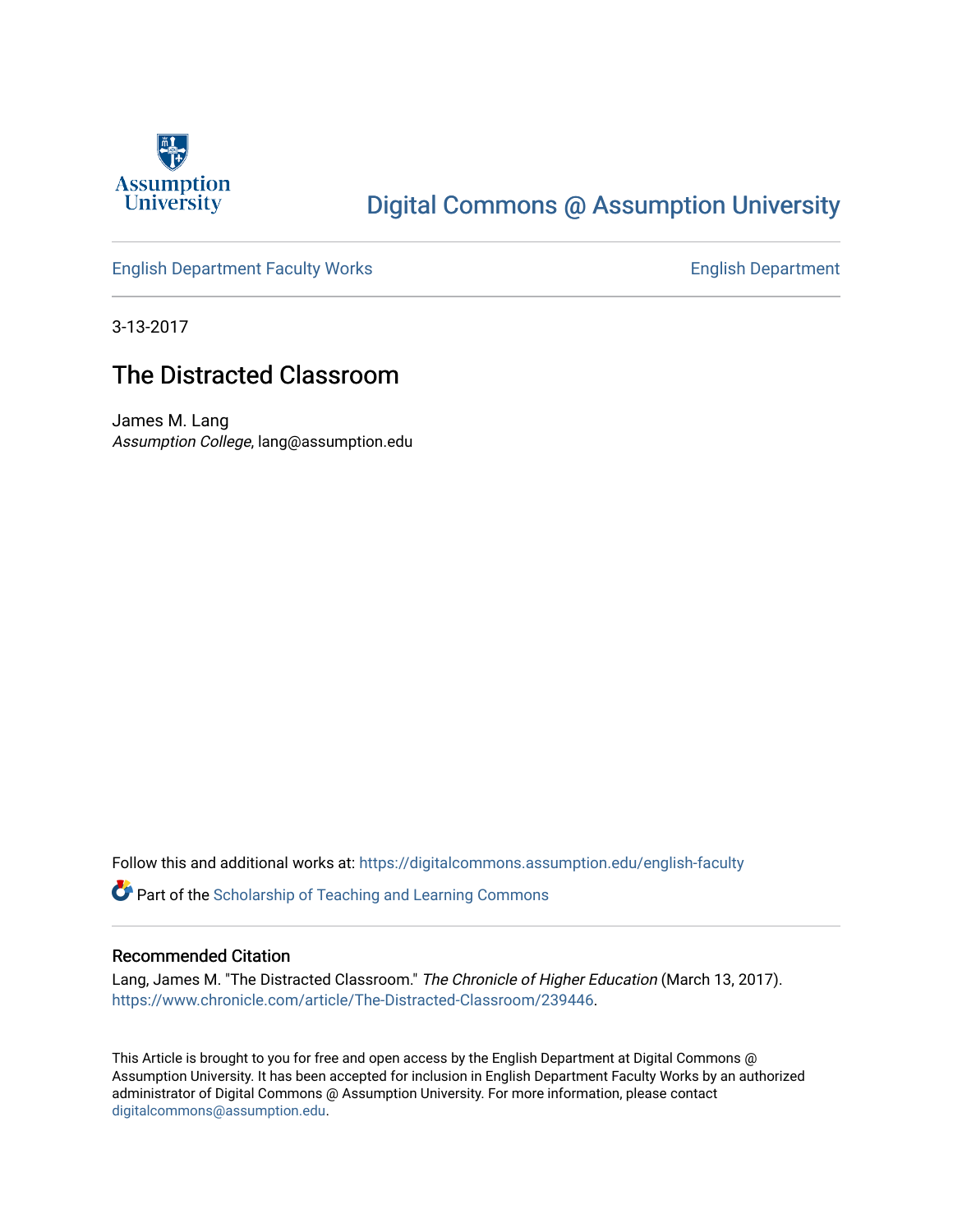

## [Digital Commons @ Assumption University](https://digitalcommons.assumption.edu/)

#### [English Department Faculty Works](https://digitalcommons.assumption.edu/english-faculty) **English Department**

3-13-2017

### The Distracted Classroom

James M. Lang Assumption College, lang@assumption.edu

Follow this and additional works at: [https://digitalcommons.assumption.edu/english-faculty](https://digitalcommons.assumption.edu/english-faculty?utm_source=digitalcommons.assumption.edu%2Fenglish-faculty%2F31&utm_medium=PDF&utm_campaign=PDFCoverPages) 

**P** Part of the Scholarship of Teaching and Learning Commons

#### Recommended Citation

Lang, James M. "The Distracted Classroom." The Chronicle of Higher Education (March 13, 2017). [https://www.chronicle.com/article/The-Distracted-Classroom/239446.](https://www.chronicle.com/article/The-Distracted-Classroom/239446)

This Article is brought to you for free and open access by the English Department at Digital Commons @ Assumption University. It has been accepted for inclusion in English Department Faculty Works by an authorized administrator of Digital Commons @ Assumption University. For more information, please contact [digitalcommons@assumption.edu](mailto:digitalcommons@assumption.edu).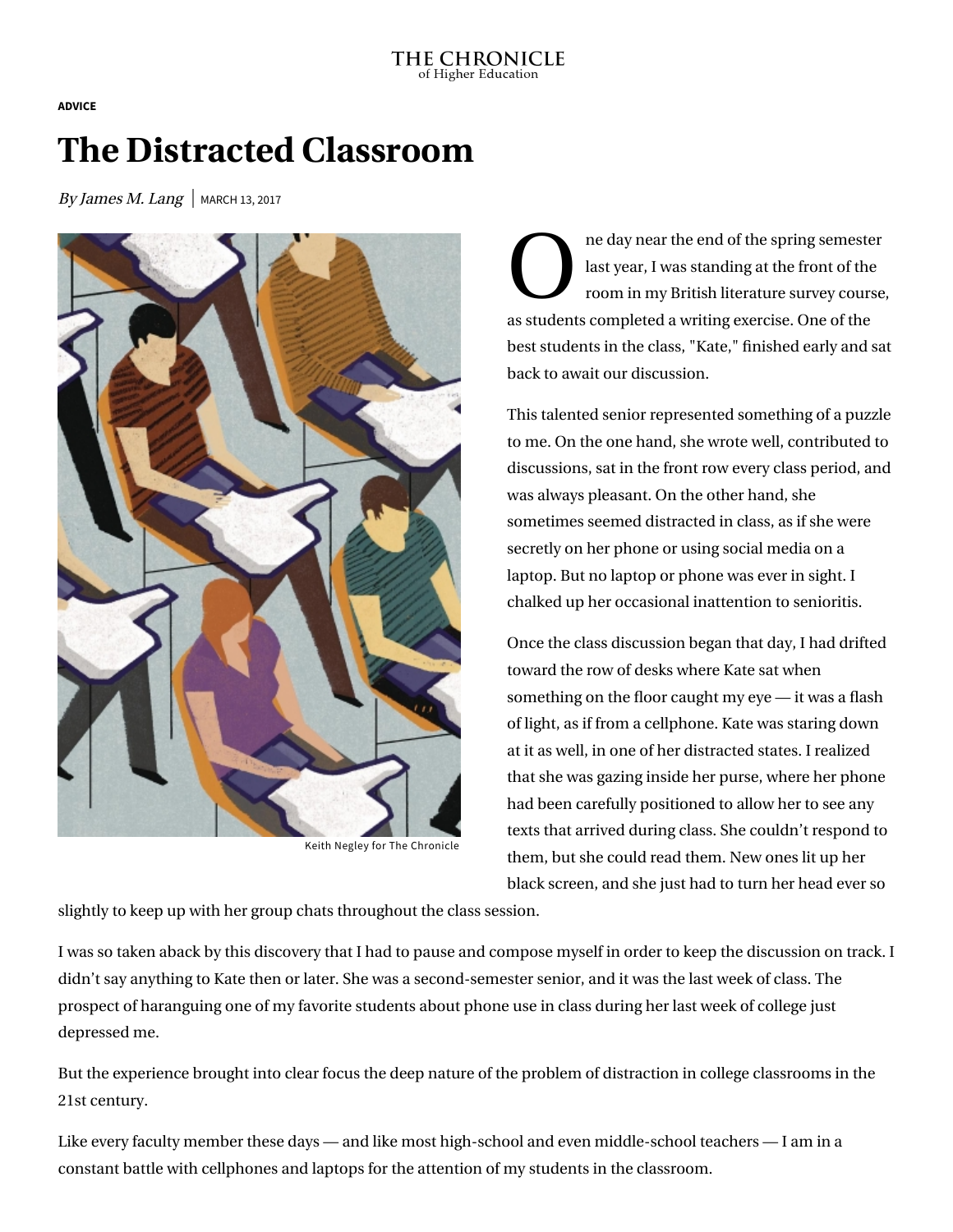**[ADVICE](https://www.chronicle.com/section/Advice/66)**

# **The Distracted Classroom**

By James M. Lang | MARCH 13, 2017



Keith Negley for The Chronicle

and the day<br>and the count ne day near the end of the spring semester last year, I was standing at the front of the room in my British literature survey course, as students completed a writing exercise. One of the best students in the class, "Kate," finished early and sat back to await our discussion.

This talented senior represented something of a puzzle to me. On the one hand, she wrote well, contributed to discussions, sat in the front row every class period, and was always pleasant. On the other hand, she sometimes seemed distracted in class, as if she were secretly on her phone or using social media on a laptop. But no laptop or phone was ever in sight. I chalked up her occasional inattention to senioritis.

Once the class discussion began that day, I had drifted toward the row of desks where Kate sat when something on the floor caught my eye — it was a flash of light, as if from a cellphone. Kate was staring down at it as well, in one of her distracted states. I realized that she was gazing inside her purse, where her phone had been carefully positioned to allow her to see any texts that arrived during class. She couldn't respond to them, but she could read them. New ones lit up her black screen, and she just had to turn her head ever so

slightly to keep up with her group chats throughout the class session.

I was so taken aback by this discovery that I had to pause and compose myself in order to keep the discussion on track. I didn't say anything to Kate then or later. She was a second-semester senior, and it was the last week of class. The prospect of haranguing one of my favorite students about phone use in class during her last week of college just depressed me.

But the experience brought into clear focus the deep nature of the problem of distraction in college classrooms in the 21st century.

Like every faculty member these days — and like most high-school and even middle-school teachers — I am in a constant battle with cellphones and laptops for the attention of my students in the classroom.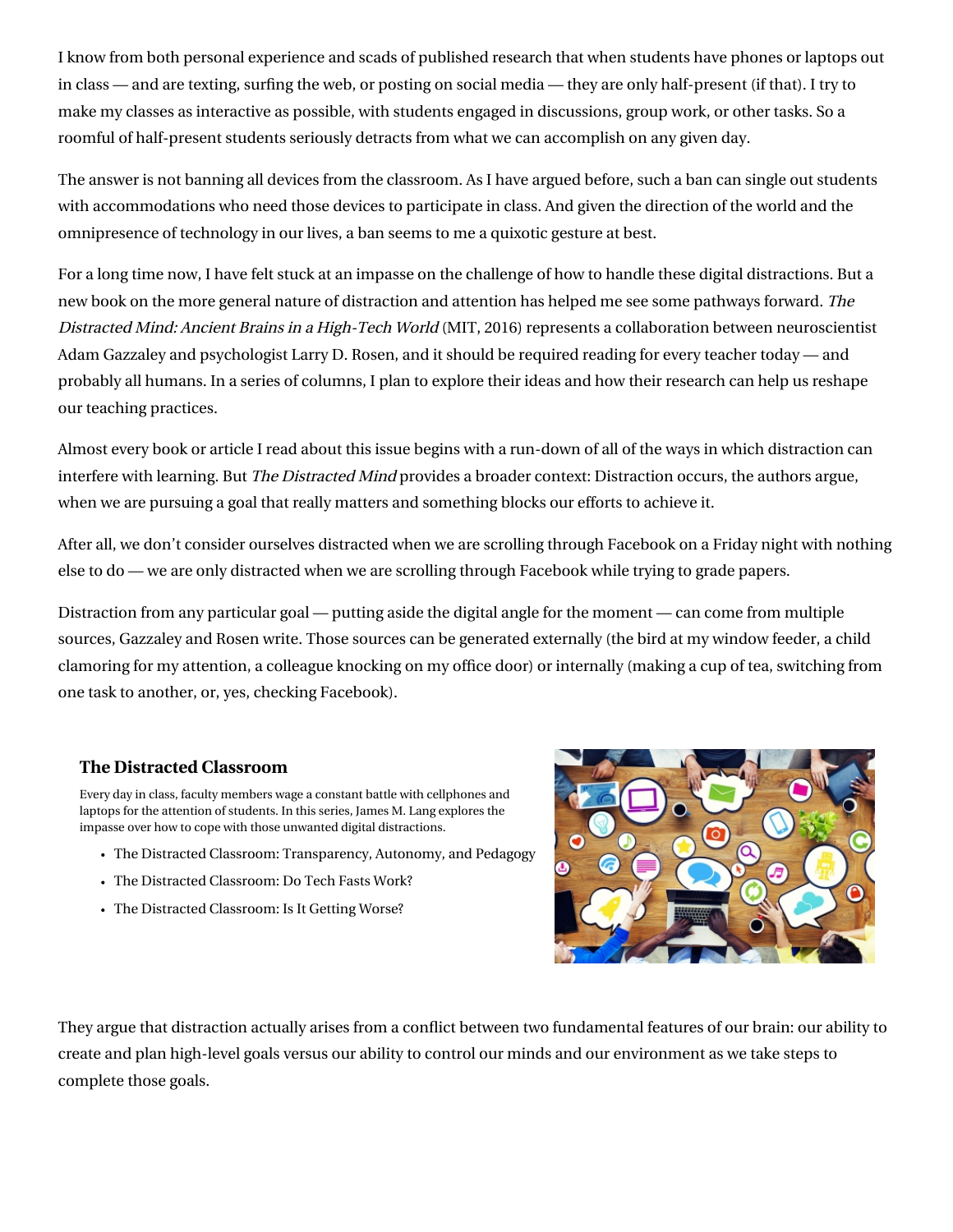I know from both personal experience and scads of published research that when students have phones or laptops out in class — and are texting, surfing the web, or posting on social media — they are only half-present (if that). I try to make my classes as interactive as possible, with students engaged in discussions, group work, or other tasks. So a roomful of half-present students seriously detracts from what we can accomplish on any given day.

The answer is not banning all devices from the classroom. As [I have argued before,](http://www.chronicle.com/article/No-Banning-Laptops-Is-Not-the/237752/) such a ban can single out students with accommodations who need those devices to participate in class. And given the direction of the world and the omnipresence of technology in our lives, a ban seems to me a quixotic gesture at best.

[For a long time now, I have felt stuck at an impasse on the challenge of how to handle these digital distractions. But a](https://mitpress.mit.edu/distracted) new book on the more general nature of distraction and attention has helped me see some pathways forward. The Distracted Mind: Ancient Brains in a High-Tech World (MIT, 2016) represents a collaboration between neuroscientist [Adam Gazzaley](https://neuroscape.ucsf.edu/profile/adam-gazzaley/) and psychologist [Larry D. Rosen,](http://drlarryrosen.com/) and it should be required reading for every teacher today — and probably all humans. In a series of columns, I plan to explore their ideas and how their research can help us reshape our teaching practices.

Almost every book or article I read about this issue begins with a run-down of [all of the ways](http://www.facultyfocus.com/articles/teaching-professor-blog/multitasking-confronting-students-with-the-facts/) in which distraction can interfere with learning. But The Distracted Mind provides a broader context: Distraction occurs, the authors argue, when we are pursuing a goal that really matters and something blocks our efforts to achieve it.

After all, we don't consider ourselves distracted when we are scrolling through Facebook on a Friday night with nothing else to do — we are only distracted when we are scrolling through Facebook while trying to grade papers.

Distraction from any particular goal — putting aside the digital angle for the moment — can come from multiple sources, Gazzaley and Rosen write. Those sources can be generated externally (the bird at my window feeder, a child clamoring for my attention, a colleague knocking on my office door) or internally (making a cup of tea, switching from one task to another, or, yes, checking Facebook).

#### **[The Distracted Classroom](https://www.chronicle.com/specialreport/The-Distracted-Classroom/120?cid=RCPACKAGE)**

Every day in class, faculty members wage a constant battle with cellphones and laptops for the attention of students. In this series, James M. Lang explores the impasse over how to cope with those unwanted digital distractions.

- [The Distracted Classroom: Transparency, Autonomy, and Pedagogy](https://www.chronicle.com/article/The-Distracted-Classroom-/240797?cid=RCPACKAGE)
- [The Distracted Classroom: Do Tech Fasts Work?](https://www.chronicle.com/article/The-Distracted-Classroom-Do/240259?cid=RCPACKAGE)
- [The Distracted Classroom: Is It Getting Worse?](https://www.chronicle.com/article/The-Distracted-Classroom-Is/239785?cid=RCPACKAGE)



They argue that distraction actually arises from a conflict between two fundamental features of our brain: our ability to create and plan high-level goals versus our ability to control our minds and our environment as we take steps to complete those goals.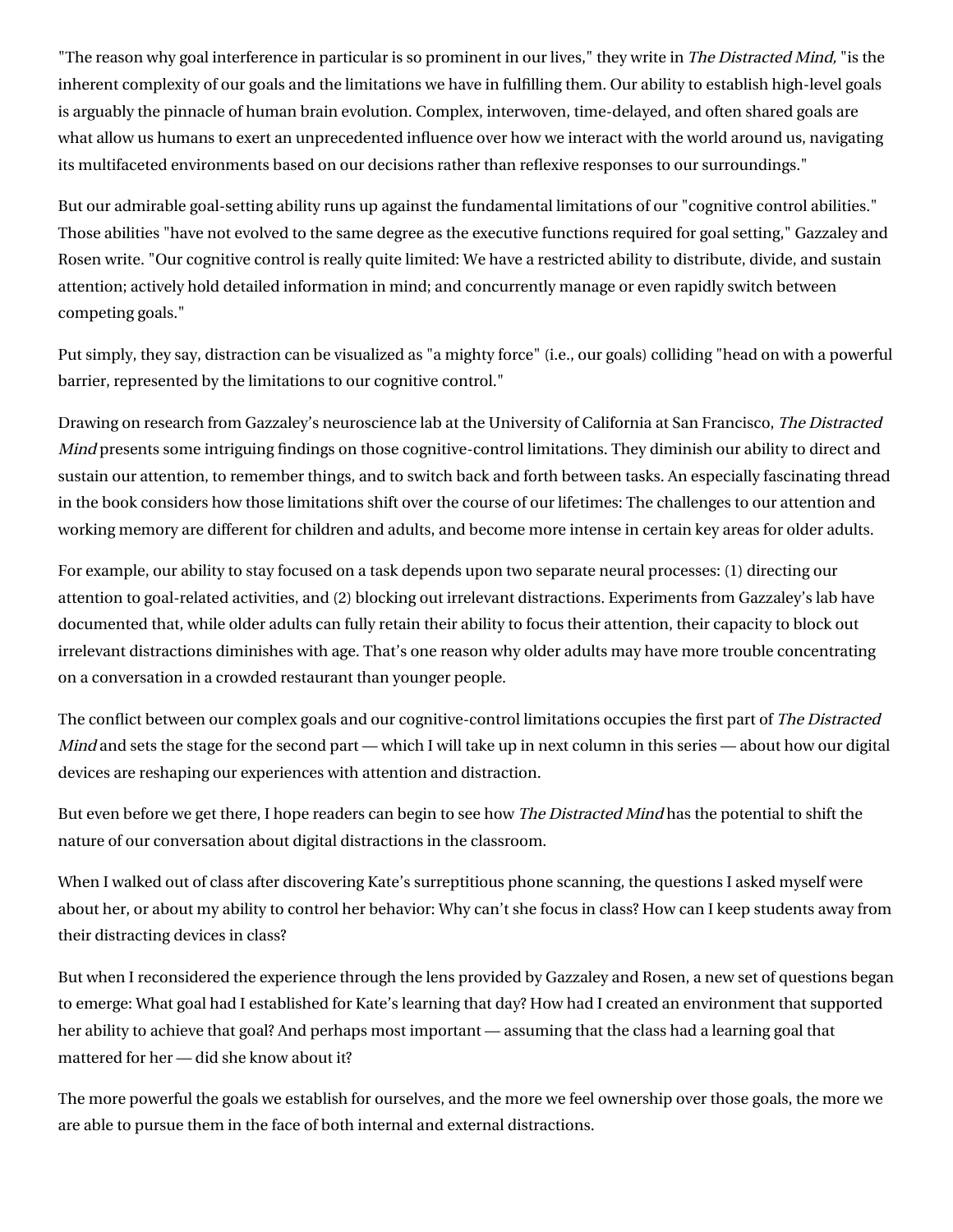"The reason why goal interference in particular is so prominent in our lives," they write in The Distracted Mind, "is the inherent complexity of our goals and the limitations we have in fulfilling them. Our ability to establish high-level goals is arguably the pinnacle of human brain evolution. Complex, interwoven, time-delayed, and often shared goals are what allow us humans to exert an unprecedented influence over how we interact with the world around us, navigating its multifaceted environments based on our decisions rather than reflexive responses to our surroundings."

But our admirable goal-setting ability runs up against the fundamental limitations of our "cognitive control abilities." Those abilities "have not evolved to the same degree as the executive functions required for goal setting," Gazzaley and Rosen write. "Our cognitive control is really quite limited: We have a restricted ability to distribute, divide, and sustain attention; actively hold detailed information in mind; and concurrently manage or even rapidly switch between competing goals."

Put simply, they say, distraction can be visualized as "a mighty force" (i.e., our goals) colliding "head on with a powerful barrier, represented by the limitations to our cognitive control."

Drawing on research from [Gazzaley's neuroscience lab](https://neuroscape.ucsf.edu/) at the University of California at San Francisco, The Distracted Mind presents some intriguing findings on those cognitive-control limitations. They diminish our ability to direct and sustain our attention, to remember things, and to switch back and forth between tasks. An especially fascinating thread in the book considers how those limitations shift over the course of our lifetimes: The challenges to our attention and working memory are different for children and adults, and become more intense in certain key areas for older adults.

For example, our ability to stay focused on a task depends upon two separate neural processes: (1) directing our attention to goal-related activities, and (2) blocking out irrelevant distractions. Experiments from Gazzaley's lab have documented that, while older adults can fully retain their ability to focus their attention, their capacity to block out irrelevant distractions diminishes with age. That's one reason why older adults may have more trouble concentrating on a conversation in a crowded restaurant than younger people.

The conflict between our complex goals and our cognitive-control limitations occupies the first part of The Distracted Mind and sets the stage for the second part — which I will take up in next column in this series — about how our digital devices are reshaping our experiences with attention and distraction.

But even before we get there, I hope readers can begin to see how *The Distracted Mind* has the potential to shift the nature of our conversation about digital distractions in the classroom.

When I walked out of class after discovering Kate's surreptitious phone scanning, the questions I asked myself were about her, or about my ability to control her behavior: Why can't she focus in class? How can I keep students away from their distracting devices in class?

But when I reconsidered the experience through the lens provided by Gazzaley and Rosen, a new set of questions began to emerge: What goal had I established for Kate's learning that day? How had I created an environment that supported her ability to achieve that goal? And perhaps most important — assuming that the class had a learning goal that mattered for her — did she know about it?

The more powerful the goals we establish for ourselves, and the more we feel ownership over those goals, the more we are able to pursue them in the face of both internal and external distractions.